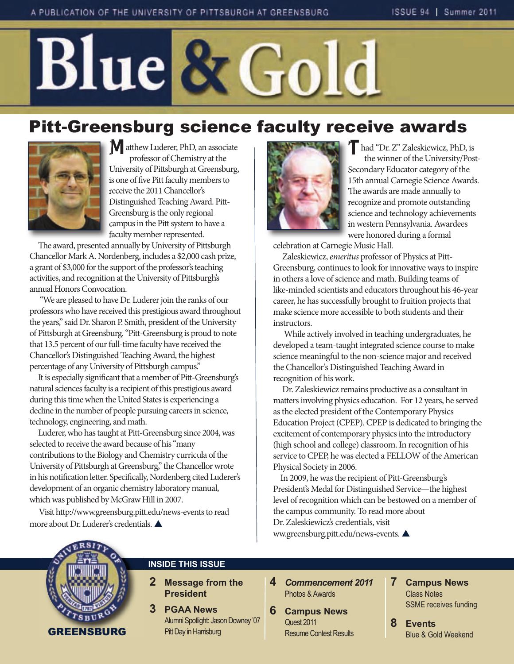## Blue & Gold

## Pitt-Greensburg science faculty receive awards



**M** atthew Luderer, PhD, an associate professor of Chemistry at the University of Pittsburgh at Greensburg, is one of five Pitt faculty members to receive the 2011 Chancellor's Distinguished Teaching Award. Pitt-Greensburg is the only regional campus in the Pitt system to have a faculty member represented.

The award, presented annually by University of Pittsburgh Chancellor Mark A. Nordenberg, includes a \$2,000 cash prize, a grant of \$3,000 for the support of the professor's teaching activities, and recognition at the University of Pittsburgh's annual Honors Convocation.

"We are pleased to have Dr. Luderer join the ranks of our professors who have received this prestigious award throughout the years," said Dr. Sharon P. Smith, president of the University of Pittsburgh at Greensburg. "Pitt-Greensburg is proud to note that 13.5 percent of our full-time faculty have received the Chancellor's Distinguished Teaching Award, the highest percentage of any University of Pittsburgh campus."

It is especially significant that a member of Pitt-Greensburg's natural sciences faculty is a recipient of this prestigious award during this time when the United States is experiencing a decline in the number of people pursuing careers in science, technology, engineering, and math.

Luderer, who has taught at Pitt-Greensburg since 2004, was selected to receive the award because of his "many contributions to the Biology and Chemistry curricula of the University of Pittsburgh at Greensburg," the Chancellor wrote in his notification letter. Specifically, Nordenberg cited Luderer's development of an organic chemistry laboratory manual, which was published by McGraw Hill in 2007.

Visit http://www.greensburg.pitt.edu/news-events to read more about Dr. Luderer's credentials.



**T**had "Dr. Z" Zaleskiewicz, PhD, is the winner of the University/Post-Secondary Educator category of the 15th annual Carnegie Science Awards. The awards are made annually to recognize and promote outstanding science and technology achievements in western Pennsylvania. Awardees were honored during a formal

celebration at Carnegie Music Hall.

Zaleskiewicz, emeritus professor of Physics at Pitt-Greensburg, continues to look for innovative ways to inspire in others a love of science and math. Building teams of like-minded scientists and educators throughout his 46-year career, he has successfully brought to fruition projects that make science more accessible to both students and their instructors.

While actively involved in teaching undergraduates, he developed a team-taught integrated science course to make science meaningful to the non-science major and received the Chancellor's Distinguished Teaching Award in recognition of his work.

Dr. Zaleskiewicz remains productive as a consultant in matters involving physics education. For 12 years, he served as the elected president of the Contemporary Physics Education Project (CPEP). CPEP is dedicated to bringing the excitement of contemporary physics into the introductory (high school and college) classroom. In recognition of his service to CPEP, he was elected a FELLOW of the American Physical Society in 2006.

In 2009, he was the recipient of Pitt-Greensburg's President's Medal for Distinguished Service—the highest level of recognition which can be bestowed on a member of the campus community. To read more about Dr. Zaleskiewicz's credentials, visit ww.greensburg.pitt.edu/news-events.



#### **INSIDE THIS ISSUE**

- **2 Message from the President**
- **3 PGAA News** Alumni Spotlight: Jason Downey '07 Pitt Day in Harrisburg
- **4** *Commencement 2011* Photos & Awards
- **6 Campus News** Quest 2011 Resume Contest Results
- **7 Campus News** Class Notes SSME receives funding
- **8 Events** Blue & Gold Weekend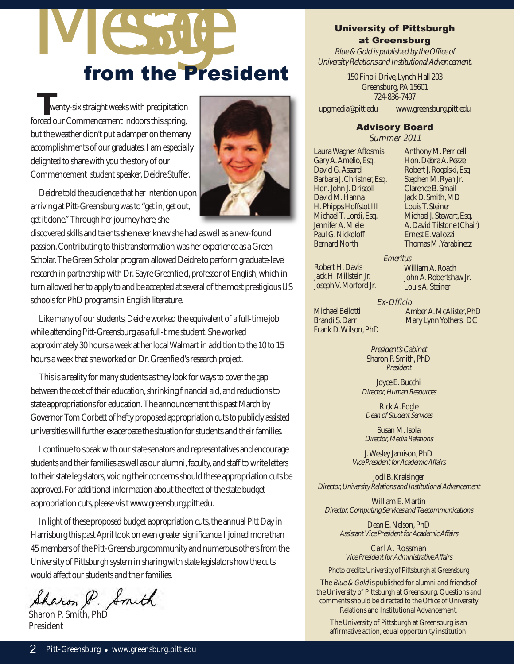# IV ESSAGE

**T**wenty-six straight weeks with precipitation forced our Commencement indoors this spring, but the weather didn't put a damper on the many accomplishments of our graduates. I am especially delighted to share with you the story of our Commencement student speaker, Deidre Stuffer.



Deidre told the audience that her intention upon arriving at Pitt-Greensburg was to "get in, get out, get it done." Through her journey here, she

discovered skills and talents she never knew she had as well as a new-found passion. Contributing to this transformation was her experience as a Green Scholar. The Green Scholar program allowed Deidre to perform graduate-level research in partnership with Dr. Sayre Greenfield, professor of English, which in turn allowed her to apply to and be accepted at several of the most prestigious US schools for PhD programs in English literature.

Like many of our students, Deidre worked the equivalent of a full-time job while attending Pitt-Greensburg as a full-time student. She worked approximately 30 hours a week at her local Walmart in addition to the 10 to 15 hours a week that she worked on Dr. Greenfield's research project.

This is a reality for many students as they look for ways to cover the gap between the cost of their education, shrinking financial aid, and reductions to state appropriations for education. The announcement this past March by Governor Tom Corbett of hefty proposed appropriation cuts to publicly assisted universities will further exacerbate the situation for students and their families.

I continue to speak with our state senators and representatives and encourage students and their families as well as our alumni, faculty, and staff to write letters to their state legislators, voicing their concerns should these appropriation cuts be approved. For additional information about the effect of the state budget appropriation cuts, please visit www.greensburg.pitt.edu.

In light of these proposed budget appropriation cuts, the annual Pitt Day in Harrisburg this past April took on even greater significance. I joined more than 45 members of the Pitt-Greensburg community and numerous others from the University of Pittsburgh system in sharing with state legislators how the cuts would affect our students and their families.

Sharon P. Smith

Sharon P. Smith, PhD President

#### University of Pittsburgh at Greensburg

Blue & Gold is published by the Office of University Relations and Institutional Advancement.

> 150 Finoli Drive, Lynch Hall 203 Greensburg, PA 15601 724-836-7497

upgmedia@pitt.edu www.greensburg.pitt.edu

#### Advisory Board

Summer 2011

Emeritus

Laura Wagner Aftosmis Gary A. Amelio, Esq. David G. Assard Barbara J. Christner, Esq. Hon. John J. Driscoll David M. Hanna H. Phipps Hoffstot III Michael T. Lordi, Esq. Jennifer A. Miele Paul G. Nickoloff Bernard North

Anthony M. Perricelli Hon. Debra A. Pezze Robert J. Rogalski, Esq. Stephen M. Ryan Jr. Clarence B. Smail Jack D. Smith, MD Louis T. Steiner Michael J. Stewart, Esq. A. David Tilstone (Chair) Ernest E. Vallozzi Thomas M. Yarabinetz

Robert H. Davis Jack H. Millstein Jr. Joseph V. Morford Jr.

> Ex-Officio Amber A. McAlister, PhD Mary Lynn Yothers, DC

William A. Roach John A. Robertshaw Jr. Louis A. Steiner

Michael Bellotti Brandi S. Darr Frank D. Wilson, PhD

> President's Cabinet Sharon P. Smith, PhD President

Joyce E. Bucchi Director, Human Resources

Rick A. Fogle Dean of Student Services

Susan M. Isola Director, Media Relations

J. Wesley Jamison, PhD Vice President for Academic Affairs

Jodi B. Kraisinger Director, University Relations and Institutional Advancement

William E. Martin Director, Computing Services and Telecommunications

Dean E. Nelson, PhD Assistant Vice President for Academic Affairs

Carl A. Rossman Vice President for Administrative Affairs

Photo credits: University of Pittsburgh at Greensburg

The *Blue & Gold* is published for alumni and friends of the University of Pittsburgh at Greensburg. Questions and comments should be directed to the Office of University Relations and Institutional Advancement.

The University of Pittsburgh at Greensburg is an affirmative action, equal opportunity institution.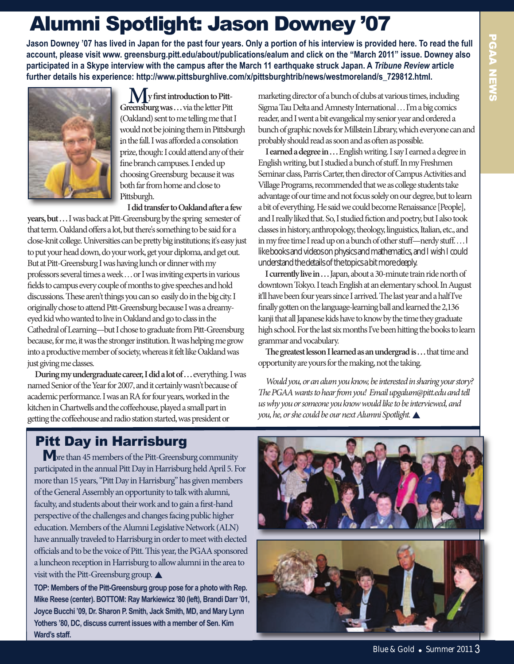## Alumni Spotlight: Jason Downey '07

**Jason Downey '07 has lived in Japan for the past four years. Only a portion of his interview is provided here. To read the full account, please visit www. greensburg.pitt.edu/about/publications/ealum and click on the "March 2011" issue. Downey also participated in a Skype interview with the campus after the March 11 earthquake struck Japan. A** *Tribune Review* **article further details his experience: http://www.pittsburghlive.com/x/pittsburghtrib/news/westmoreland/s\_729812.html.**



**My first introduction to Pitt-Greensburg was . . .** via the letter Pitt (Oakland) sent to me telling me that I would not be joining them in Pittsburgh in the fall. I was afforded a consolation prize, though: I could attend any of their fine branch campuses. I ended up choosing Greensburg because it was both far from home and close to Pittsburgh.

**I** did transfer to Oakland after a few **years, but . . .** I was back at Pitt-Greensburg by the spring semester of that term. Oakland offers a lot, but there's something to be said for a close-knit college. Universities can be pretty big institutions; it's easy just to put your head down, do your work, get your diploma, and get out. But at Pitt-Greensburg I was having lunch or dinner with my professors several times a week . . . or I was inviting experts in various fields to campus every couple of months to give speeches and hold discussions. These aren't things you can so easily do in the big city. I originally chose to attend Pitt-Greensburg because I was a dreamyeyed kid who wanted to live in Oakland and go to class in the Cathedral of Learning—but I chose to graduate from Pitt-Greensburg because, for me, it was the stronger institution. It was helping me grow into a productive member of society, whereas it felt like Oakland was just giving me classes.

**During my undergraduate career, I did a lot of ... everything. I was** named Senior of the Year for 2007, and it certainly wasn't because of academic performance. I was an RA for four years, worked in the kitchen in Chartwells and the coffeehouse, played a small part in getting the coffeehouse and radio station started, was president or

marketing director of a bunch of clubs at various times, including Sigma Tau Delta and Amnesty International . . . I'm a big comics reader, and I went a bit evangelical my senior year and ordered a bunch of graphic novels for Millstein Library, which everyone can and probably should read as soon and as often as possible.

**I earned a degree in . . .** English writing. I say I earned a degree in English writing, but I studied a bunch of stuff. In my Freshmen Seminar class, Parris Carter, then director of Campus Activities and Village Programs, recommended that we as college students take advantage of our time and not focus solely on our degree, but to learn a bit of everything. He said we could become Renaissance [People], and I really liked that. So, I studied fiction and poetry, but I also took classes in history, anthropology, theology, linguistics, Italian, etc., and in my free time I read up on a bunch of other stuff—nerdy stuff. . . . I like books and videos on physics and mathematics, and I wish I could understand the details of the topics a bit more deeply.

**I currently live in . . .** Japan, about a 30-minute train ride north of downtown Tokyo. I teach English at an elementary school. In August it'll have been four years since I arrived. The last year and a half I've finally gotten on the language-learning ball and learned the 2,136 kanji that all Japanese kids have to know by the time they graduate high school. For the last six months I've been hitting the books to learn grammar and vocabulary.

**e greatest lesson I learned as an undergrad is . . .** that time and opportunity are yours for the making, not the taking.

Would you, or an alum you know, be interested in sharing your story? e PGAA wants to hear from you! Email upgalum@pitt.edu and tell us why you or someone you know would like to be interviewed, and you, he, or she could be our next Alumni Spotlight.  $\blacktriangle$ 

### Pitt Day in Harrisburg

**M**ore than 45 members of the Pitt-Greensburg community participated in the annual Pitt Day in Harrisburg held April 5. For more than 15 years, "Pitt Day in Harrisburg" has given members of the General Assembly an opportunity to talk with alumni, faculty, and students about their work and to gain a first-hand perspective of the challenges and changes facing public higher education. Members of the Alumni Legislative Network (ALN) have annually traveled to Harrisburg in order to meet with elected officials and to be the voice of Pitt. This year, the PGAA sponsored a luncheon reception in Harrisburg to allow alumni in the area to visit with the Pitt-Greensburg group.  $\blacktriangle$ 

**TOP: Members of the Pitt-Greensburg group pose for a photo with Rep. Mike Reese (center). BOTTOM: Ray Markiewicz '80 (left), Brandi Darr '01, Joyce Bucchi '09, Dr. Sharon P. Smith, Jack Smith, MD, and Mary Lynn Yothers '80, DC, discuss current issues with a member of Sen. Kim Ward's staff.**

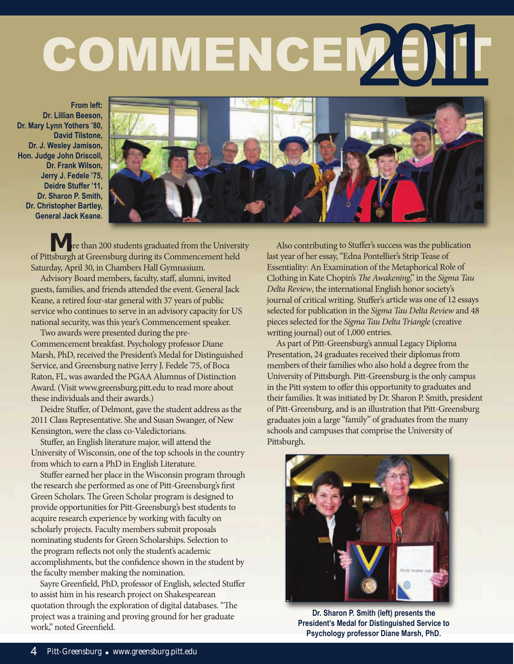## COMMENCEM (ENT

**From left: Dr. Lillian Beeson, Dr. Mary Lynn Yothers '80, David Tilstone, Dr. J. Wesley Jamison, Hon. Judge John Driscoll, Dr. Frank Wilson, Jerry J. Fedele '75, Deidre Stuffer '11, Dr. Sharon P. Smith, Dr. Christopher Bartley, General Jack Keane.**



**M** ore than 200 students graduated from the University of Pittsburgh at Greensburg during its Commencement held Saturday, April 30, in Chambers Hall Gymnasium.

Advisory Board members, faculty, staff, alumni, invited guests, families, and friends attended the event. General Jack Keane, a retired four-star general with 37 years of public service who continues to serve in an advisory capacity for US national security, was this year's Commencement speaker.

Two awards were presented during the pre-Commencement breakfast. Psychology professor Diane Marsh, PhD, received the President's Medal for Distinguished Service, and Greensburg native Jerry J. Fedele '75, of Boca Raton, FL, was awarded the PGAA Alumnus of Distinction Award. (Visit www.greensburg.pitt.edu to read more about these individuals and their awards.)

Deidre Stuffer, of Delmont, gave the student address as the 2011 Class Representative. She and Susan Swanger, of New Kensington, were the class co-Valedictorians.

Stuffer, an English literature major, will attend the University of Wisconsin, one of the top schools in the country from which to earn a PhD in English Literature.

Stuffer earned her place in the Wisconsin program through the research she performed as one of Pitt-Greensburg's first Green Scholars. The Green Scholar program is designed to provide opportunities for Pitt-Greensburg's best students to acquire research experience by working with faculty on scholarly projects. Faculty members submit proposals nominating students for Green Scholarships. Selection to the program reflects not only the student's academic accomplishments, but the confidence shown in the student by the faculty member making the nomination.

Sayre Greenfield, PhD, professor of English, selected Stuffer to assist him in his research project on Shakespearean quotation through the exploration of digital databases. "The project was a training and proving ground for her graduate work," noted Greenfield.

Also contributing to Stuffer's success was the publication last year of her essay, "Edna Pontellier's Strip Tease of Essentiality: An Examination of the Metaphorical Role of Clothing in Kate Chopin's The Awakening," in the Sigma Tau Delta Review, the international English honor society's journal of critical writing. Stuffer's article was one of 12 essays selected for publication in the Sigma Tau Delta Review and 48 pieces selected for the Sigma Tau Delta Triangle (creative writing journal) out of 1,000 entries.

As part of Pitt-Greensburg's annual Legacy Diploma Presentation, 24 graduates received their diplomas from members of their families who also hold a degree from the University of Pittsburgh. Pitt-Greensburg is the only campus in the Pitt system to offer this opportunity to graduates and their families. It was initiated by Dr. Sharon P. Smith, president of Pitt-Greensburg, and is an illustration that Pitt-Greensburg graduates join a large "family" of graduates from the many schools and campuses that comprise the University of Pittsburgh.



**Dr. Sharon P. Smith (left) presents the President's Medal for Distinguished Service to Psychology professor Diane Marsh, PhD.**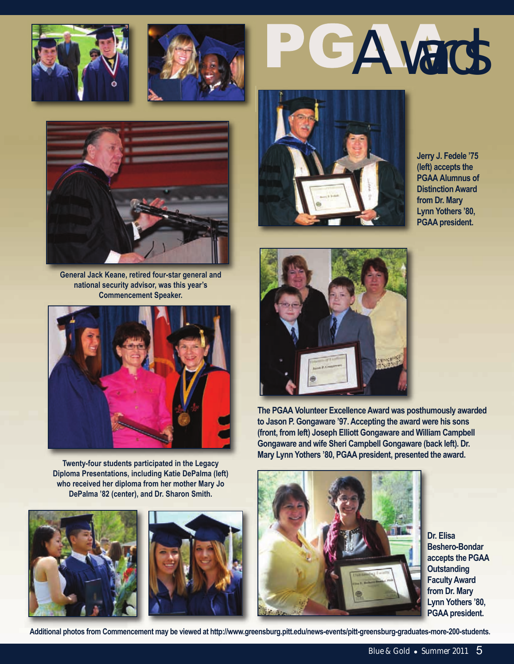







**General Jack Keane, retired four-star general and national security advisor, was this year's Commencement Speaker.**



**Twenty-four students participated in the Legacy Diploma Presentations, including Katie DePalma (left) who received her diploma from her mother Mary Jo DePalma '82 (center), and Dr. Sharon Smith.** 







**Jerry J. Fedele '75 (left) accepts the PGAA Alumnus of Distinction Award from Dr. Mary Lynn Yothers '80, PGAA president.** 



**The PGAA Volunteer Excellence Award was posthumously awarded to Jason P. Gongaware '97. Accepting the award were his sons (front, from left) Joseph Elliott Gongaware and William Campbell Gongaware and wife Sheri Campbell Gongaware (back left). Dr. Mary Lynn Yothers '80, PGAA president, presented the award.**



**Dr. Elisa Beshero-Bondar accepts the PGAA Outstanding Faculty Award from Dr. Mary Lynn Yothers '80, PGAA president.** 

**Additional photos from Commencement may be viewed at http://www.greensburg.pitt.edu/news-events/pitt-greensburg-graduates-more-200-students.**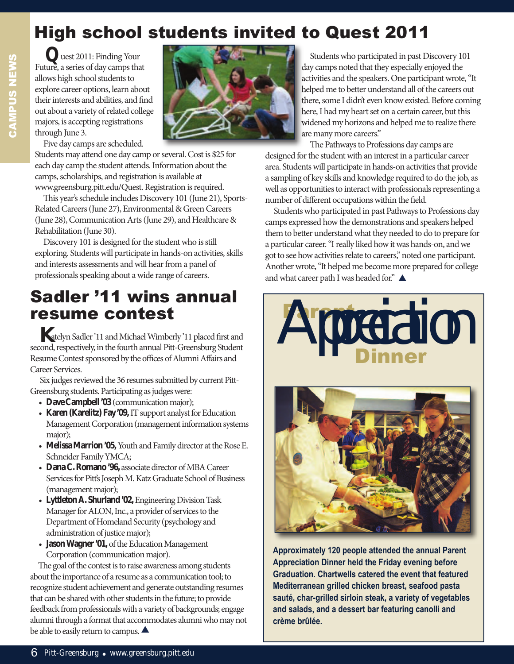## High school students invited to Quest 2011

**Q**uest 2011: Finding Your Future, a series of day camps that allows high school students to explore career options, learn about their interests and abilities, and find out about a variety of related college majors, is accepting registrations through June 3.

Five day camps are scheduled.

Students may attend one day camp or several. Cost is \$25 for each day camp the student attends. Information about the camps, scholarships, and registration is available at www.greensburg.pitt.edu/Quest. Registration is required.

This year's schedule includes Discovery 101 (June 21), Sports-Related Careers (June 27), Environmental & Green Careers (June 28), Communication Arts (June 29), and Healthcare & Rehabilitation (June 30).

Discovery 101 is designed for the student who is still exploring. Students will participate in hands-on activities, skills and interests assessments and will hear from a panel of professionals speaking about a wide range of careers.

## Sadler '11 wins annual resume contest

**K**atelyn Sadler '11 and Michael Wimberly '11 placed first and second, respectively, in the fourth annual Pitt-Greensburg Student Resume Contest sponsored by the offices of Alumni Affairs and Career Services.

Six judges reviewed the 36 resumes submitted by current Pitt-Greensburg students. Participating as judges were:

- **Dave Campbell '03** (communication major);
- **Karen (Karelitz) Fay '09,**IT support analyst for Education Management Corporation (management information systems major);
- **Melissa Marrion '05,**Youth and Family director at the Rose E. Schneider Family YMCA;
- **Dana C. Romano '96,** associate director of MBA Career Services for Pitt's Joseph M. Katz Graduate School of Business (management major);
- **Lyttleton A. Shurland '02,** Engineering Division Task Manager for ALON, Inc., a provider of services to the Department of Homeland Security (psychology and administration of justice major);
- **Jason Wagner '01,**of the Education Management Corporation (communication major).

The goal of the contest is to raise awareness among students about the importance of a resume as a communication tool; to recognize student achievement and generate outstanding resumes that can be shared with other students in the future; to provide feedback from professionals with a variety of backgrounds; engage alumni through a format that accommodates alumni who may not be able to easily return to campus.  $\blacktriangle$ 



Students who participated in past Discovery 101 day camps noted that they especially enjoyed the activities and the speakers. One participant wrote, "It helped me to better understand all of the careers out there, some I didn't even know existed. Before coming here, I had my heart set on a certain career, but this widened my horizons and helped me to realize there are many more careers."

The Pathways to Professions day camps are designed for the student with an interest in a particular career area. Students will participate in hands-on activities that provide a sampling of key skills and knowledge required to do the job, as well as opportunities to interact with professionals representing a number of different occupations within the field.

Students who participated in past Pathways to Professions day camps expressed how the demonstrations and speakers helped them to better understand what they needed to do to prepare for a particular career. "I really liked how it was hands-on, and we got to see how activities relate to careers," noted one participant. Another wrote, "It helped me become more prepared for college and what career path I was headed for." $\triangle$ 





**Approximately 120 people attended the annual Parent Appreciation Dinner held the Friday evening before Graduation. Chartwells catered the event that featured Mediterranean grilled chicken breast, seafood pasta sauté, char-grilled sirloin steak, a variety of vegetables and salads, and a dessert bar featuring canolli and crème brûlée.**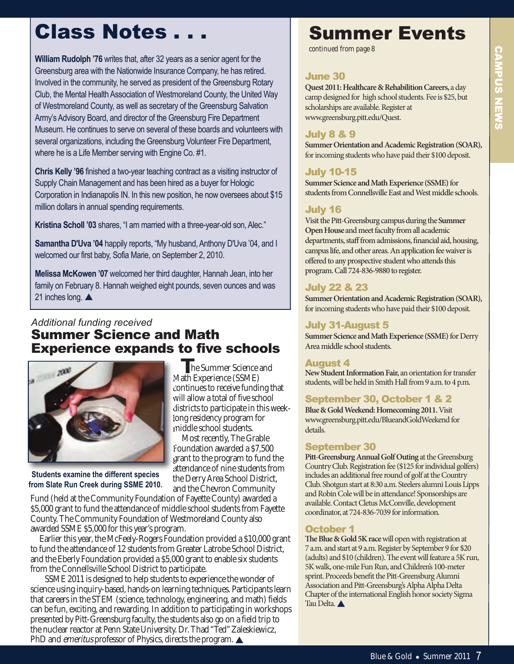## Class Notes . . .

**William Rudolph '76** writes that, after 32 years as a senior agent for the Greensburg area with the Nationwide Insurance Company, he has retired. Involved in the community, he served as president of the Greensburg Rotary Club, the Mental Health Association of Westmoreland County, the United Way of Westmoreland County, as well as secretary of the Greensburg Salvation Army's Advisory Board, and director of the Greensburg Fire Department Museum. He continues to serve on several of these boards and volunteers with several organizations, including the Greensburg Volunteer Fire Department, where he is a Life Member serving with Engine Co. #1.

**Chris Kelly '96** finished a two-year teaching contract as a visiting instructor of Supply Chain Management and has been hired as a buyer for Hologic Corporation in Indianapolis IN. In this new position, he now oversees about \$15 million dollars in annual spending requirements.

**Kristina Scholl '03** shares, "I am married with a three-year-old son, Alec."

**Samantha D'Uva '04** happily reports, "My husband, Anthony D'Uva '04, and I welcomed our first baby, Sofia Marie, on September 2, 2010.

**Melissa McKowen '07** welcomed her third daughter, Hannah Jean, into her family on February 8. Hannah weighed eight pounds, seven ounces and was 21 inches long.  $\triangle$ 

#### *Additional funding received* Summer Science and math Experience expands to five schools

**T**he Summer Science and Math Experience (SSME) continues to receive funding that will allow a total of five school districts to participate in this weeklong residency program for middle school students. Most recently, The Grable Foundation awarded a \$7,500 grant to the program to fund the attendance of nine students from the Derry Area School District,



**Students examine the different species from Slate Run Creek during SSME 2010.**

and the Chevron Community Fund (held at the Community Foundation of Fayette County) awarded a \$5,000 grant to fund the attendance of middle school students from Fayette County. The Community Foundation of Westmoreland County also awarded SSME \$5,000 for this year's program.

Earlier this year, the McFeely-Rogers Foundation provided a \$10,000 grant to fund the attendance of 12 students from Greater Latrobe School District, and the Eberly Foundation provided a \$5,000 grant to enable six students from the Connellsville School District to participate.

SSME 2011 is designed to help students to experience the wonder of science using inquiry-based, hands-on learning techniques. Participants learn that careers in the STEM (science, technology, engineering, and math) fields can be fun, exciting, and rewarding. In addition to participating in workshops presented by Pitt-Greensburg faculty, the students also go on a field trip to the nuclear reactor at Penn State University. Dr. Thad "Ted" Zaleskiewicz, PhD and *emeritus* professor of Physics, directs the program.  $\triangle$ 

## Summer Events

*continued from page 8*

#### June 30

**Quest 2011: Healthcare & Rehabilition Careers,** a day camp designed for high school students. Fee is \$25, but scholarships are available. Register at www.greensburg.pitt.edu/Quest.

#### July 8 & 9

**Summer Orientation and Academic Registration (SOAR),** for incoming students who have paid their \$100 deposit.

#### July 10-15

**Summer Science and Math Experience (SSME)** for students from Connellsville East and West middle schools.

#### July 16

Visit the Pitt-Greensburg campus during the**Summer Open House**and meet faculty from all academic departments, staff from admissions, financial aid, housing, campus life, and other areas. An application fee waiver is offered to any prospective student who attends this program. Call 724-836-9880 to register.

#### July 22 & 23

**Summer Orientation and Academic Registration (SOAR),** for incoming students who have paid their \$100 deposit.

#### July 31-August 5

**Summer Science and Math Experience (SSME)** for Derry Area middle school students.

#### August 4

**New Student Information Fair,** an orientation for transfer students, will be held in Smith Hall from 9 a.m. to 4 p.m.

#### September 30, october 1 & 2

**Blue & Gold Weekend: Homecoming 2011.** Visit www.greensburg.pitt.edu/BlueandGoldWeekend for details.

#### September 30

**Pitt-Greensburg Annual Golf Outing** at the Greensburg Country Club. Registration fee (\$125 for individual golfers) includes an additional free round of golf at the Country Club. Shotgun start at 8:30 a.m. Steelers alumni Louis Lipps and Robin Cole will be in attendance! Sponsorships are available. Contact Cletus McConville, development coordinator, at 724-836-7039 for information.

#### october 1

The Blue & Gold 5K race will open with registration at 7 a.m. and start at 9 a.m. Register by September 9 for \$20 (adults) and  $$10$  (children). The event will feature a 5K run, 5K walk, one-mile Fun Run, and Children's 100-meter sprint. Proceeds benefit the Pitt-Greensburg Alumni Association and Pitt-Greensburg's Alpha Alpha Delta Chapter of the international English honor society Sigma Tau Delta.